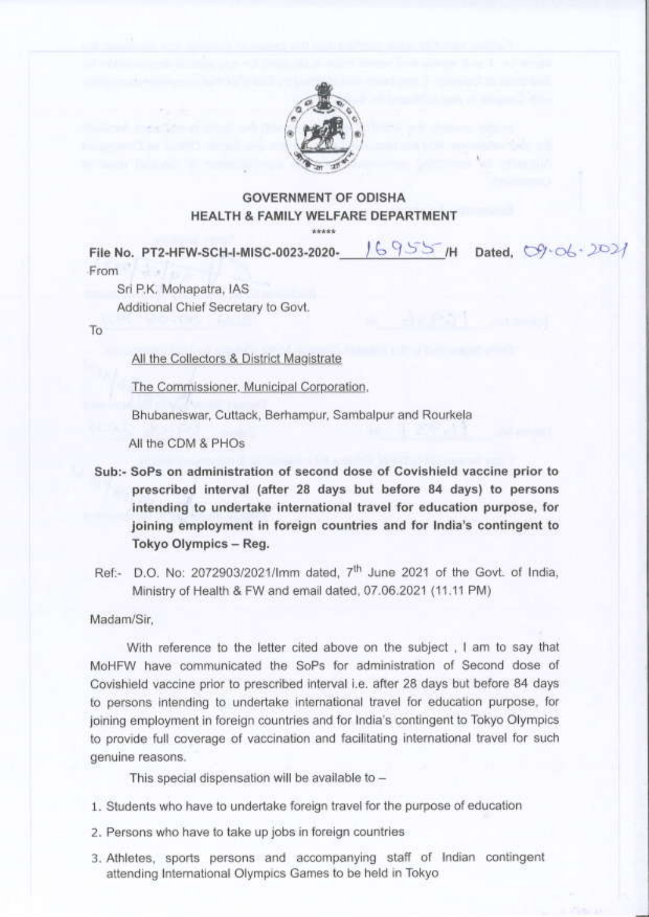

# **GOVERNMENT OF ODISHA** HEALTH & FAMILY WELFARE DEPARTMENT

 $169557$  H Dated,  $09.06.2021$ 

File No. PT2-HFW-SCH-I-MISC-0023-2020-From

> Sri P.K. Mohapatra, IAS Additional Chief Secretary to Govt.

To:

All the Collectors & District Magistrate

The Commissioner, Municipal Corporation.

Bhubaneswar, Cuttack, Berhampur, Sambalpur and Rourkela

All the CDM & PHOs

- Sub:- SoPs on administration of second dose of Covishield vaccine prior to prescribed interval (after 28 days but before 84 days) to persons intending to undertake international travel for education purpose, for joining employment in foreign countries and for India's contingent to Tokyo Olympics - Reg.
- Ref:- D.O. No: 2072903/2021/Imm dated, 7<sup>th</sup> June 2021 of the Govt. of India. Ministry of Health & FW and email dated, 07.06.2021 (11.11 PM)

Madam/Sir.

With reference to the letter cited above on the subject, I am to say that MoHFW have communicated the SoPs for administration of Second dose of Covishield vaccine prior to prescribed interval i.e. after 28 days but before 84 days to persons intending to undertake international travel for education purpose, for joining employment in foreign countries and for India's contingent to Tokyo Olympics to provide full coverage of vaccination and facilitating international travel for such genuine reasons.

This special dispensation will be available to -

- 1. Students who have to undertake foreign travel for the purpose of education
- 2. Persons who have to take up jobs in foreign countries
- 3. Athletes, sports persons and accompanying staff of Indian contingent attending International Olympics Games to be held in Tokyo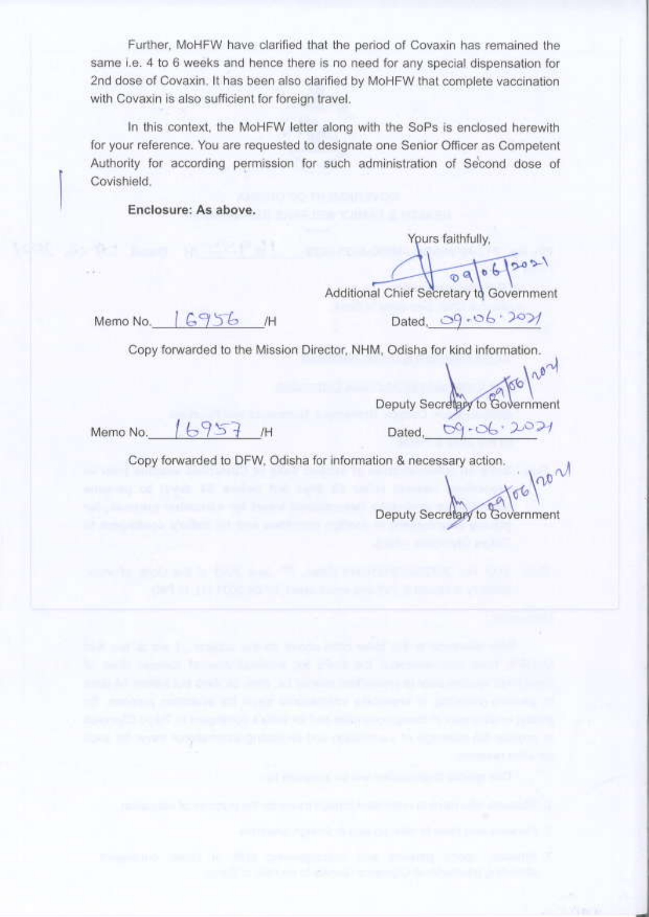Further, MoHFW have clarified that the period of Covaxin has remained the same i.e. 4 to 6 weeks and hence there is no need for any special dispensation for 2nd dose of Covaxin. It has been also clarified by MoHFW that complete vaccination with Covaxin is also sufficient for foreign travel.

In this context, the MoHFW letter along with the SoPs is enclosed herewith for your reference. You are requested to designate one Senior Officer as Competent Authority for according permission for such administration of Second dose of Covishield.

Enclosure: As above.

Yours faithfully,

 $70021$  $\sqrt{q}$ 

Additional Chief Secretary to Government

Memo No. 16956 /H

Dated 09.06.2001

Copy forwarded to the Mission Director, NHM, Odisha for kind information.

66/2021 Deputy Secretary to Government Dated,  $09 - 06 \cdot 2021$ 

 $16957$  M Memo No.

Copy forwarded to DFW, Odisha for information & necessary action.

nor Deputy Secretary to Government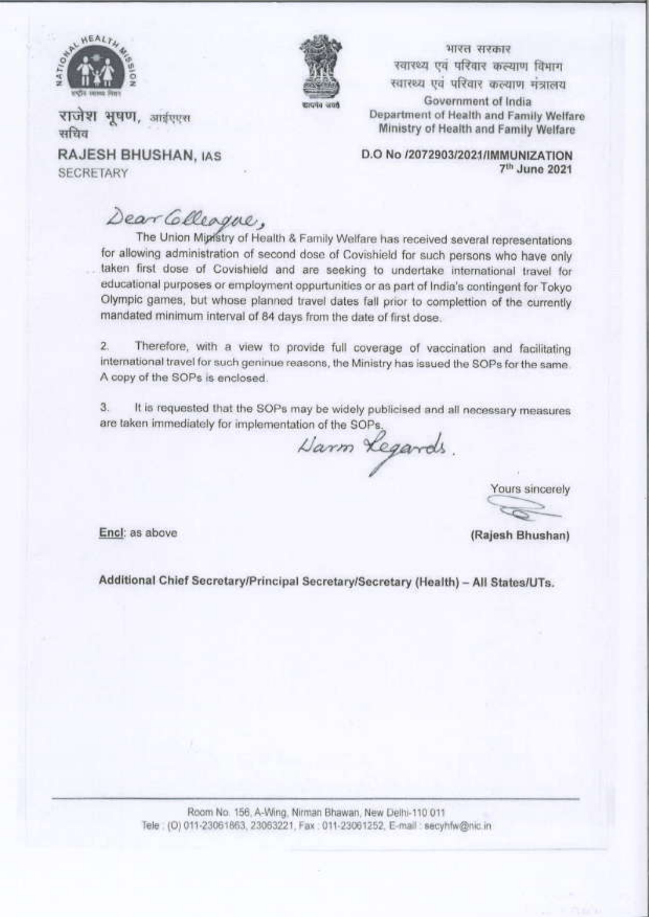



राजेश भूषण, आईएएस सचिव

RAJESH BHUSHAN, IAS SECRETARY

भारत सरकार स्वारध्य एवं परिवार कल्याण विभाग स्वारध्य एवं परिवार कल्याण मंत्रालय Government of India Department of Health and Family Welfare Ministry of Health and Family Welfare

D.O No /2072903/2021/IMMUNIZATION 7th June 2021

Dear Colleague,

The Union Miprstry of Health & Family Welfare has received several representations for allowing administration of second dose of Covishield for such persons who have only taken first dose of Covishield and are seeking to undertake international travel for educational purposes or employment oppurtunities or as part of India's contingent for Tokyo Olympic games, but whose planned travel dates fall prior to complettion of the currently mandated minimum interval of 84 days from the date of first dose.

Therefore, with a view to provide full coverage of vaccination and facilitating  $\overline{2}$ international travel for such geninue reasons, the Ministry has issued the SOPs for the same. A copy of the SOPs is enclosed.

It is requested that the SOPs may be widely publicised and all necessary measures 3. are taken immediately for implementation of the SOPs,

Harm Legards.

Yours sincerely

Encl: as above

(Rajesh Bhushan)

Additional Chief Secretary/Principal Secretary/Secretary (Health) - All States/UTs.

Room No. 156, A-Wing, Nirman Bhawan, New Delhi-110 011 Tele (O) 011-23061863, 23063221, Fax: 011-23061252, E-mail: secyhfw@nic.in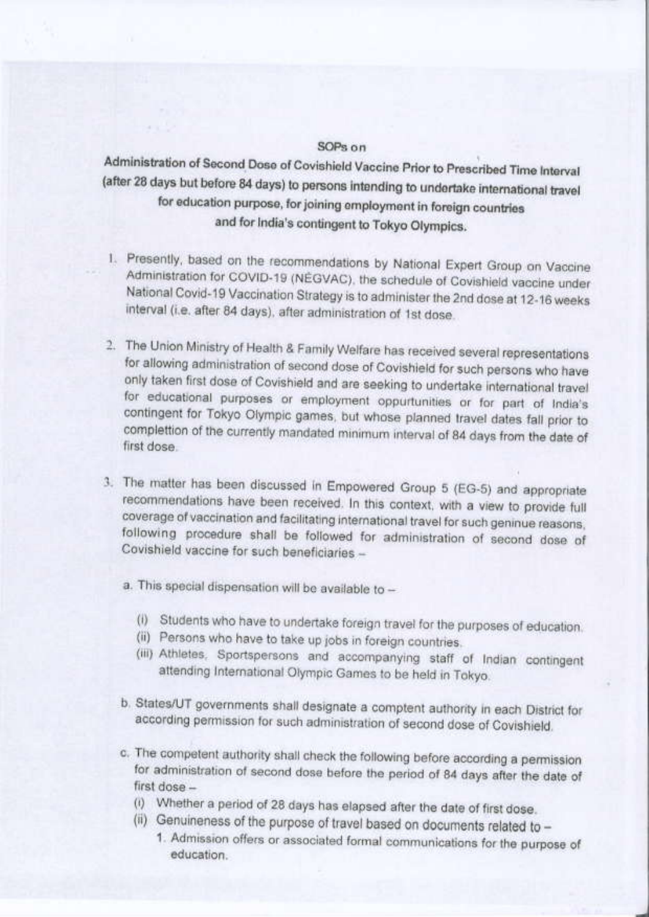## SOP<sub>s</sub> on

Administration of Second Dose of Covishield Vaccine Prior to Prescribed Time Interval (after 28 days but before 84 days) to persons intending to undertake international travel for education purpose, for joining employment in foreign countries and for India's contingent to Tokyo Olympics.

- 1. Presently, based on the recommendations by National Expert Group on Vaccine Administration for COVID-19 (NEGVAC), the schedule of Covishield vaccine under National Covid-19 Vaccination Strategy is to administer the 2nd dose at 12-16 weeks interval (i.e. after 84 days), after administration of 1st dose.
- 2. The Union Ministry of Health & Family Welfare has received several representations for allowing administration of second dose of Covishield for such persons who have only taken first dose of Covishield and are seeking to undertake international travel for educational purposes or employment oppurtunities or for part of India's contingent for Tokyo Olympic games, but whose planned travel dates fall prior to complettion of the currently mandated minimum interval of 84 days from the date of first dose.
- 3. The matter has been discussed in Empowered Group 5 (EG-5) and appropriate recommendations have been received. In this context, with a view to provide full coverage of vaccination and facilitating international travel for such geninue reasons, following procedure shall be followed for administration of second dose of Covishield vaccine for such beneficiaries
	- a. This special dispensation will be available to -
		- (i) Students who have to undertake foreign travel for the purposes of education.
		- (ii) Persons who have to take up jobs in foreign countries.
		- (iii) Athletes, Sportspersons and accompanying staff of Indian contingent attending International Olympic Games to be held in Tokyo.
	- b. States/UT governments shall designate a comptent authority in each District for according permission for such administration of second dose of Covishield.
	- c. The competent authority shall check the following before according a permission for administration of second dose before the period of 84 days after the date of first dose -
		- (i) Whether a period of 28 days has elapsed after the date of first dose.
		- (ii) Genuineness of the purpose of travel based on documents related to -
			- 1. Admission offers or associated formal communications for the purpose of education.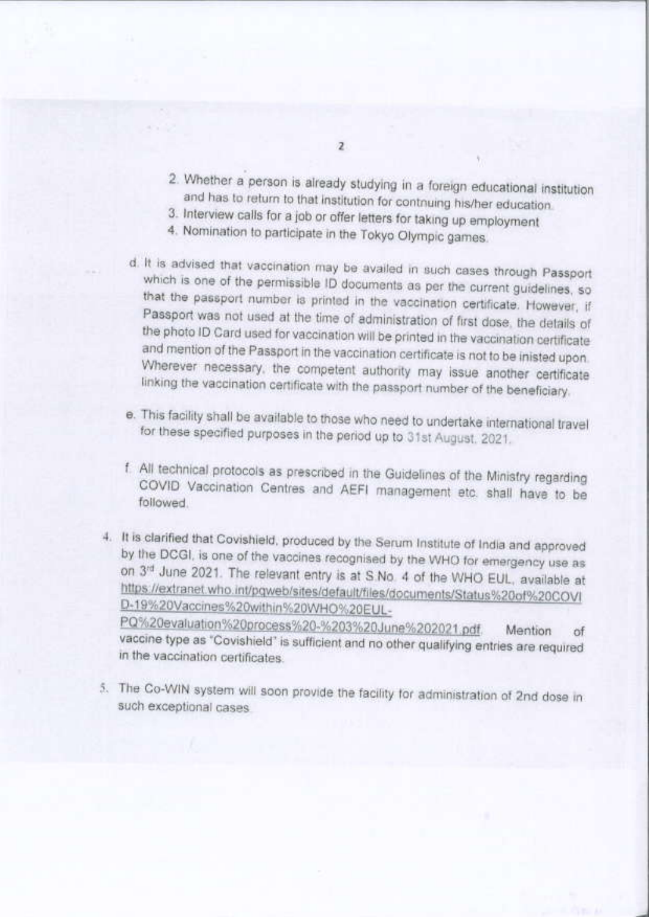- 2. Whether a person is already studying in a foreign educational institution and has to return to that institution for contnuing his/her education.
- 3. Interview calls for a job or offer letters for taking up employment
- 4. Nomination to participate in the Tokyo Olympic games.
- d. It is advised that vaccination may be availed in such cases through Passport which is one of the permissible ID documents as per the current guidelines, so that the passport number is printed in the vaccination certificate. However, if Passport was not used at the time of administration of first dose, the details of the photo ID Card used for vaccination will be printed in the vaccination certificate and mention of the Passport in the vaccination certificate is not to be inisted upon. Wherever necessary, the competent authority may issue another certificate linking the vaccination certificate with the passport number of the beneficiary.
- e. This facility shall be available to those who need to undertake international travel for these specified purposes in the period up to 31st August, 2021.
- f. All technical protocols as prescribed in the Guidelines of the Ministry regarding COVID Vaccination Centres and AEFI management etc. shall have to be followed.
- 4. It is clarified that Covishield, produced by the Serum Institute of India and approved by the DCGI, is one of the vaccines recognised by the WHO for emergency use as on 3rd June 2021. The relevant entry is at S No. 4 of the WHO EUL, available at https://extranet.who.int/pqweb/sites/default/files/documents/Status%20of%20COVI D-19%20Vaccines%20within%20WHO%20EUL-PQ%20evaluation%20process%20-%203%20June%202021.pdf. Mention

of vaccine type as "Covishield" is sufficient and no other qualifying entries are required in the vaccination certificates.

5. The Co-WIN system will soon provide the facility for administration of 2nd dose in such exceptional cases

 $\overline{2}$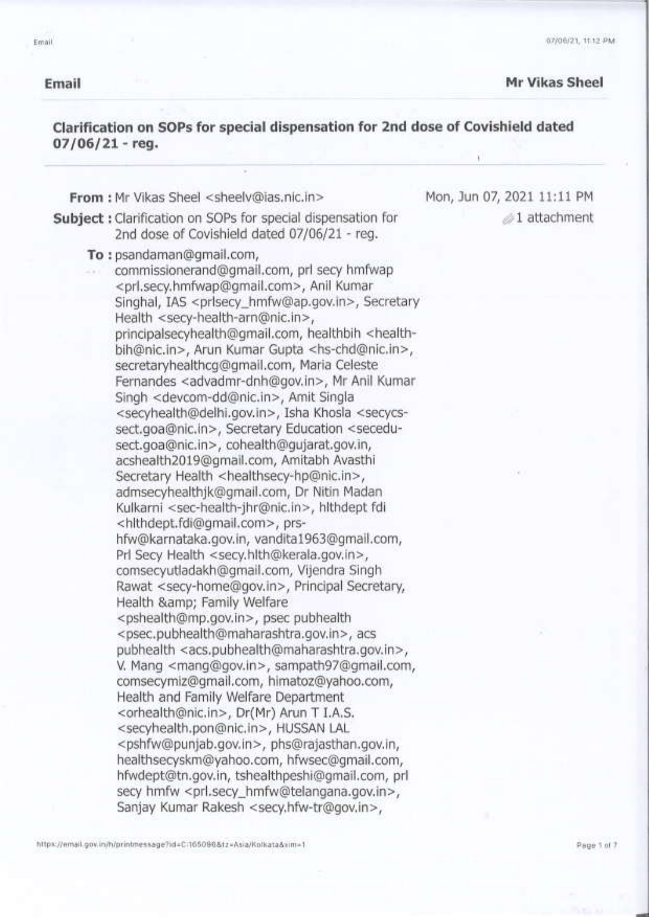07/06/21, 11:12 PM

#### Email

Email

## **Mr Vikas Sheel**

1 attachment

## Clarification on SOPs for special dispensation for 2nd dose of Covishield dated  $07/06/21$  - reg.

From : Mr Vikas Sheel <sheelv@ias.nic.in> Mon, Jun 07, 2021 11:11 PM **Subject:** Clarification on SOPs for special dispensation for 2nd dose of Covishield dated 07/06/21 - reg. To: psandaman@gmail.com, commissionerand@gmail.com, prl secy hmfwap <prl.secy.hmfwap@gmail.com>, Anil Kumar Singhal, IAS <prlsecy\_hmfw@ap.gov.in>, Secretary Health <secy-health-arn@nic.in>, principalsecyhealth@gmail.com, healthbih <healthbih@nic.in>, Arun Kumar Gupta <hs-chd@nic.in>, secretaryhealthcq@gmail.com, Maria Celeste Fernandes <advadmr-dnh@gov.in>, Mr Anil Kumar Singh <devcom-dd@nic.in>, Amit Singla <secyhealth@delhi.gov.in>, Isha Khosla <secycssect.goa@nic.in>, Secretary Education <secedusect.goa@nic.in>, cohealth@gujarat.gov.in, acshealth2019@gmail.com, Amitabh Avasthi Secretary Health <healthsecy-hp@nic.in>, admsecyhealthik@gmail.com, Dr Nitin Madan Kulkarni <sec-health-jhr@nic.in>, hlthdept fdi <hlthdept.fdi@gmail.com>, prshfw@karnataka.gov.in, vandita1963@gmail.com, Prl Secy Health <secy.hlth@kerala.gov.in>, comsecyutladakh@qmail.com, Vijendra Singh Rawat <secy-home@gov.in>, Principal Secretary, Health &amp: Family Welfare <pshealth@mp.gov.in>, psec pubhealth <psec.pubhealth@maharashtra.gov.in>, acs pubhealth <acs.pubhealth@maharashtra.gov.in>, V. Mang <mang@gov.in>, sampath97@gmail.com, comsecymiz@gmail.com, himatoz@yahoo.com, Health and Family Welfare Department <orhealth@nic.in>, Dr(Mr) Arun T I.A.S. <secyhealth.pon@nic.in>, HUSSAN LAL <pshfw@punjab.gov.in>, phs@rajasthan.gov.in, healthsecyskm@yahoo.com, hfwsec@gmail.com, hfwdept@tn.gov.in, tshealthpeshi@gmail.com, prl secy hmfw <prl.secy\_hmfw@telangana.gov.in>, Sanjay Kumar Rakesh <secy.hfw-tr@gov.in>,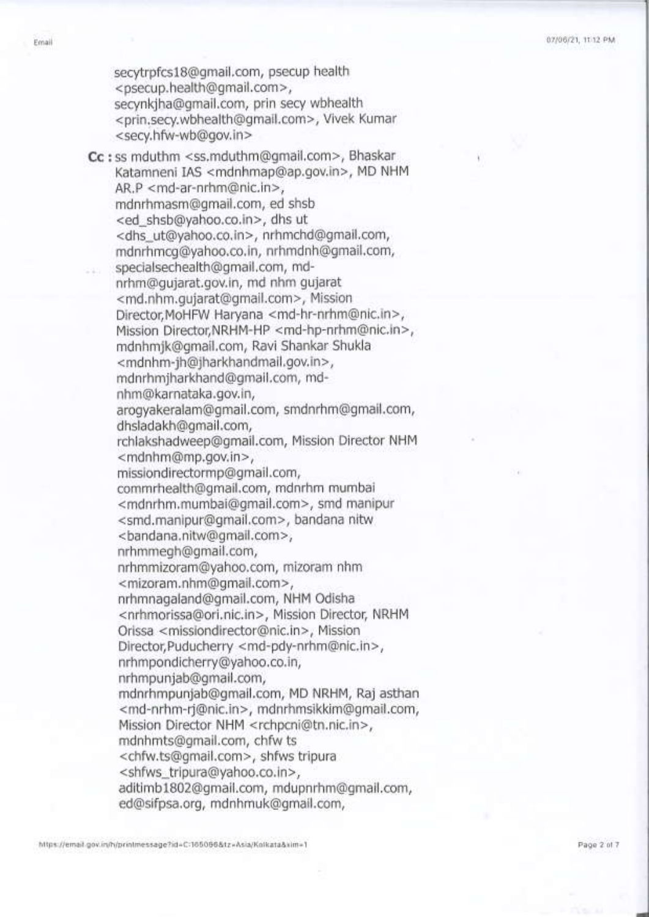secytrpfcs18@qmail.com, psecup health <psecup.health@qmail.com>, secynkiha@gmail.com, prin secy wbhealth <prin.secy.wbhealth@gmail.com>, Vivek Kumar <secy.hfw-wb@gov.in>

Cc: ss mduthm <ss.mduthm@qmail.com>, Bhaskar Katamneni IAS <mdnhmap@ap.gov.in>, MD NHM AR.P <md-ar-nrhm@nic.in>, mdnrhmasm@gmail.com, ed shsb <ed shsb@yahoo.co.in>, dhs ut <dhs\_ut@yahoo.co.in>, nrhmchd@gmail.com, mdnrhmcg@yahoo.co.in, nrhmdnh@gmail.com, specialsechealth@qmail.com, mdnrhm@gujarat.gov.in, md nhm gujarat <md.nhm.qujarat@gmail.com>, Mission Director, MoHFW Haryana <md-hr-nrhm@nic.in>, Mission Director, NRHM-HP <md-hp-nrhm@nic.in>, mdnhmjk@gmail.com, Ravi Shankar Shukla <mdnhm-jh@jharkhandmail.gov.in>, mdnrhmjharkhand@qmail.com, mdnhm@karnataka.gov.in, aroqyakeralam@qmail.com, smdnrhm@gmail.com, dhsladakh@gmail.com, rchlakshadweep@gmail.com, Mission Director NHM <mdnhm@mp.gov.in>, missiondirectormp@gmail.com, commrhealth@gmail.com, mdnrhm mumbai <mdnrhm.mumbai@gmail.com>, smd manipur <smd.manipur@qmail.com>, bandana nitw <br />
small.com>, nrhmmegh@gmail.com, nrhmmizoram@yahoo.com, mizoram nhm <mizoram.nhm@gmail.com>, nrhmnagaland@gmail.com, NHM Odisha <nrhmorissa@ori.nic.in>, Mission Director, NRHM Orissa <missiondirector@nic.in>, Mission<br>Director,Puducherry <md-pdy-nrhm@nic.in>, nrhmpondicherry@yahoo.co.in, nrhmpunjab@qmail.com, mdnrhmpunjab@qmail.com, MD NRHM, Raj asthan <md-nrhm-ri@nic.in>, mdnrhmsikkim@gmail.com, Mission Director NHM <rchpcni@tn.nic.in>, mdnhmts@gmail.com, chfw ts <chfw.ts@qmail.com>, shfws tripura <shfws\_tripura@yahoo.co.in>, aditimb1802@qmail.com, mdupnrhm@qmail.com, ed@sifpsa.org, mdnhmuk@qmail.com,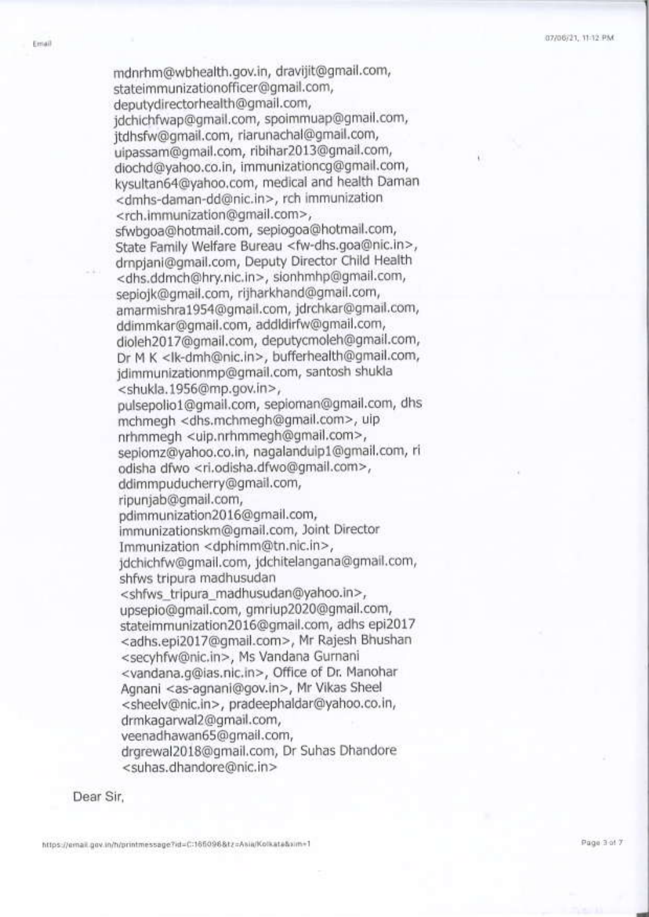state immunization officer@gmail.com, deputydirectorhealth@gmail.com,<br>jdchichfwap@gmail.com, spoimmuap@gmail.com, jtdhsfw@gmail.com, riarunachal@gmail.com, uipassam@gmail.com, ribihar2013@gmail.com, diochd@yahoo.co.in, immunizationcg@gmail.com, kysultan64@yahoo.com, medical and health Daman<br><dmhs-daman-dd@nic.in>, rch immunization <rch.immunization@gmail.com>, sfwbgoa@hotmail.com, sepiogoa@hotmail.com, State Family Welfare Bureau <fw-dhs.goa@nic.in>, drnpjani@gmail.com, Deputy Director Child Health <dhs.ddmch@hry.nic.in>, sionhmhp@gmail.com, sepiojk@gmail.com, rijharkhand@gmail.com, amarmishra1954@gmail.com, jdrchkar@gmail.com, ddimmkar@gmail.com, addldirfw@gmail.com, dioleh2017@gmail.com, deputycmoleh@gmail.com,<br>Dr M K <lk-dmh@nic.in>, bufferhealth@gmail.com, idimmunizationmp@qmail.com, santosh shukla <shukla.1956@mp.gov.in>, pulsepolio1@gmail.com, sepioman@gmail.com, dhs mchmegh <dhs.mchmegh@gmail.com>, uip nrhmmegh <uip.nrhmmegh@gmail.com>, sepiomz@yahoo.co.in, nagalanduip1@gmail.com, ri<br>odisha dfwo <ri.odisha.dfwo@gmail.com>, ddim mpuducherry@gmail.com,<br>ripuniab@gmail.com, pdimmunization2016@qmail.com, immunizationskm@gmail.com, Joint Director<br>Immunization <dphimm@tn.nic.in>, jdchichfw@gmail.com, jdchitelangana@gmail.com,<br>shfws tripura madhusudan <shfws\_tripura\_madhusudan@vahoo.in>, upsepio@gmail.com, gmriup2020@gmail.com, stateimmunization2016@gmail.com, adhs epi2017 <adhs.epi2017@gmail.com>, Mr Rajesh Bhushan <secyhfw@nic.in>, Ms Vandana Gurnani <vandana.g@ias.nic.in>, Office of Dr. Manohar Agnani <as-agnani@gov.in>, Mr Vikas Sheel <sheely@nic.in>, pradeephaldar@yahoo.co.in, drmkagarwal2@gmail.com,

mdnrhm@wbhealth.gov.in, dravijit@gmail.com,

veenadhawan65@gmail.com,

drgrewal 2018@gmail.com, Dr Suhas Dhandore<br><suhas.dhandore@nic.in>

Dear Sir.

https://email.gov.in/h/printmessage?id=C:165096&tz=Asia/Kolkata&sim+1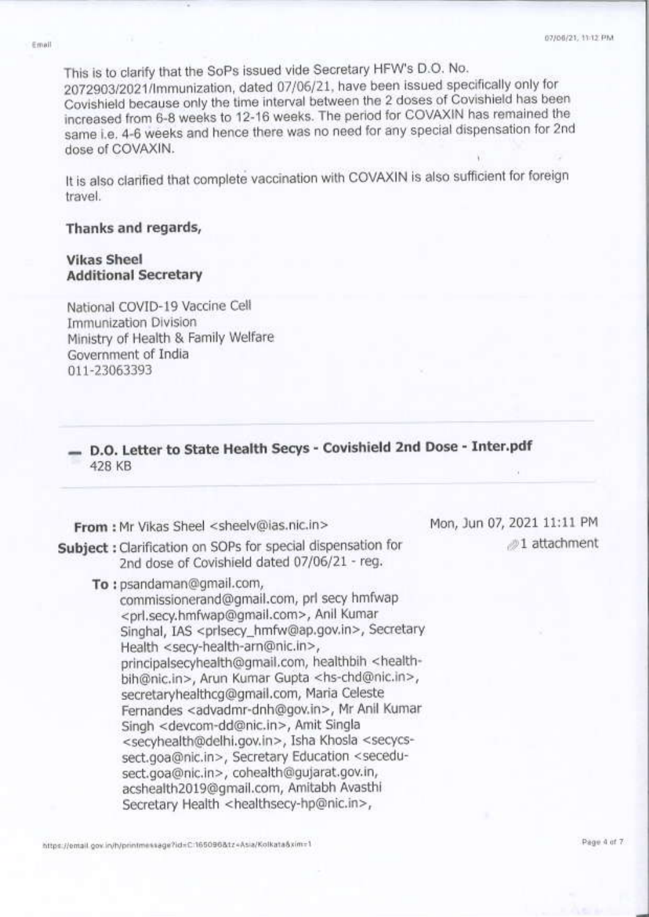This is to clarify that the SoPs issued vide Secretary HFW's D.O. No. 2072903/2021/Immunization, dated 07/06/21, have been issued specifically only for Covishield because only the time interval between the 2 doses of Covishield has been increased from 6-8 weeks to 12-16 weeks. The period for COVAXIN has remained the same i.e. 4-6 weeks and hence there was no need for any special dispensation for 2nd dose of COVAXIN.

It is also clarified that complete vaccination with COVAXIN is also sufficient for foreign travel.

## Thanks and regards,

## **Vikas Sheel Additional Secretary**

National COVID-19 Vaccine Cell **Immunization Division** Ministry of Health & Family Welfare Government of India 011-23063393

- D.O. Letter to State Health Secys - Covishield 2nd Dose - Inter.pdf 428 KB

From: Mr Vikas Sheel <sheelv@ias.nic.in> Subject : Clarification on SOPs for special dispensation for

2nd dose of Covishield dated 07/06/21 - reg.

To: psandaman@gmail.com,

commissionerand@gmail.com, prl secy hmfwap <prl.secy.hmfwap@gmail.com>, Anil Kumar Singhal, IAS <prlsecy\_hmfw@ap.gov.in>, Secretary Health <secy-health-arn@nic.in>, principalsecyhealth@gmail.com, healthbih <healthbih@nic.in>, Arun Kumar Gupta <hs-chd@nic.in>, secretaryhealthcg@gmail.com, Maria Celeste Fernandes <advadmr-dnh@gov.in>, Mr Anil Kumar Singh <devcom-dd@nic.in>, Amit Singla <secyhealth@delhi.gov.in>, Isha Khosla <secycssect.goa@nic.in>, Secretary Education <secedusect.goa@nic.in>, cohealth@gujarat.gov.in, acshealth2019@gmail.com, Amitabh Avasthi Secretary Health <healthsecy-hp@nic.in>.

Mon, Jun 07, 2021 11:11 PM 21 attachment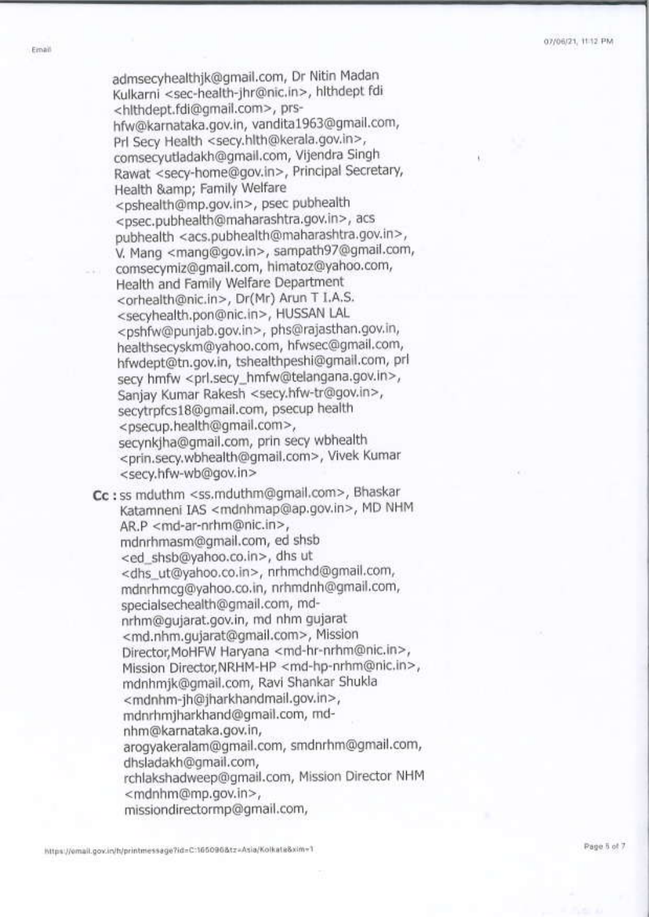admsecyhealthjk@gmail.com, Dr Nitin Madan Kulkarni <sec-health-jhr@nic.in>, hlthdept fdi <hlthdept.fdi@gmail.com>, prshfw@karnataka.gov.in, vandita1963@gmail.com, Prl Secy Health <secy.hlth@kerala.gov.in>, comsecyutladakh@gmail.com, Vijendra Singh Rawat <secy-home@gov.in>, Principal Secretary, Health & Family Welfare <pshealth@mp.gov.in>, psec pubhealth <psec.pubhealth@maharashtra.gov.in>, acs pubhealth <acs.pubhealth@maharashtra.gov.in>, V. Mang <mang@gov.in>, sampath97@gmail.com, comsecymiz@qmail.com, himatoz@yahoo.com, Health and Family Welfare Department <orhealth@nic.in>, Dr(Mr) Arun T I.A.S. <secyhealth.pon@nic.in>, HUSSAN LAL <pshfw@punjab.gov.in>, phs@rajasthan.gov.in, healthsecyskm@yahoo.com, hfwsec@gmail.com, hfwdept@tn.gov.in, tshealthpeshi@gmail.com, prl secy hmfw <prl.secy\_hmfw@telangana.gov.in>, Sanjay Kumar Rakesh <secy.hfw-tr@gov.in>, secytrpfcs18@gmail.com, psecup health <psecup.health@gmail.com>, secynkjha@gmail.com, prin secy wbhealth <prin.secy.wbhealth@gmail.com>, Vivek Kumar <secv.hfw-wb@gov.in>

Cc: ss mduthm <ss.mduthm@gmail.com>, Bhaskar Katamneni IAS <mdnhmap@ap.gov.in>, MD NHM AR.P <md-ar-nrhm@nic.in>, mdnrhmasm@gmail.com, ed shsb <ed\_shsb@yahoo.co.in>, dhs ut <dhs\_ut@yahoo.co.in>, nrhmchd@gmail.com, mdnrhmcq@yahoo.co.in, nrhmdnh@gmail.com, specialsechealth@gmail.com, mdnrhm@gujarat.gov.in, md nhm gujarat <md.nhm.qujarat@gmail.com>, Mission Director, MoHFW Haryana <md-hr-nrhm@nic.in>, Mission Director, NRHM-HP <md-hp-nrhm@nic.in>, mdnhmjk@gmail.com, Ravi Shankar Shukla <mdnhm-ih@iharkhandmail.gov.in>, mdnrhmjharkhand@gmail.com, mdnhm@karnataka.gov.in, arogyakeralam@gmail.com, smdnrhm@gmail.com, dhsladakh@gmail.com, rchlakshadweep@gmail.com, Mission Director NHM <mdnhm@mp.gov.in>, missiondirectormp@gmail.com,

Email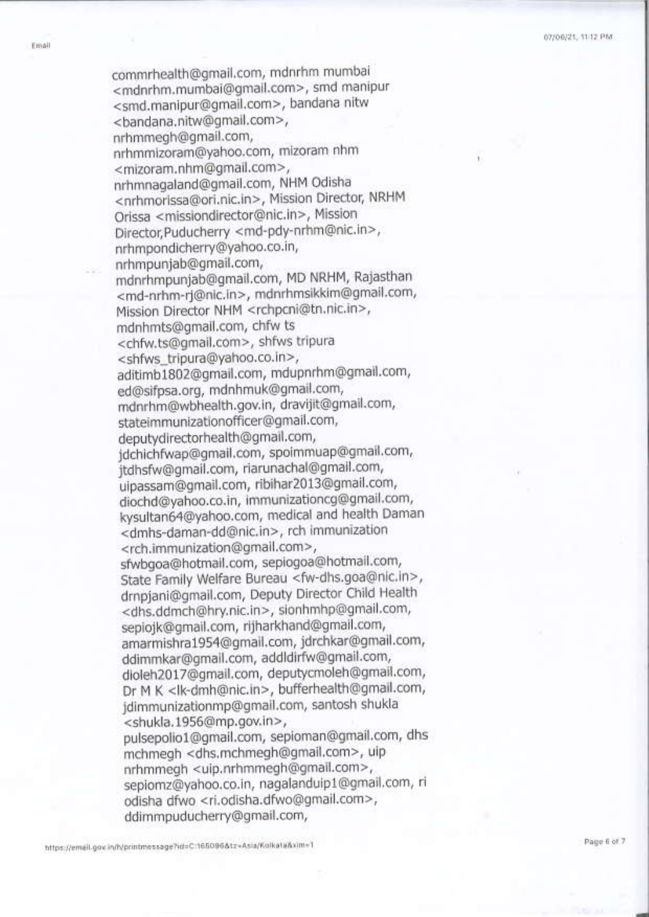commrhealth@gmail.com, mdnrhm mumbai <mdnrhm.mumbai@gmail.com>, smd manipur <smd.manipur@gmail.com>, bandana nitw <bandana.nitw@gmail.com>, nrhmmegh@gmail.com, nrhmmizoram@yahoo.com, mizoram nhm <mizoram.nhm@qmail.com>, nrhmnagaland@gmail.com, NHM Odisha <nrhmorissa@ori.nic.in>, Mission Director, NRHM Orissa <missiondirector@nic.in>, Mission Director, Puducherry <md-pdy-nrhm@nic.in>, nrhmpondicherry@yahoo.co.in, nrhmpunjab@gmail.com, mdnrhmpunjab@gmail.com, MD NRHM, Rajasthan <md-nrhm-rj@nic.in>, mdnrhmsikkim@gmail.com, Mission Director NHM <rchpcni@tn.nic.in>, mdnhmts@gmail.com, chfw ts <chfw.ts@gmail.com>, shfws tripura <shfws\_tripura@yahoo.co.in>, aditimb1802@gmail.com, mdupnrhm@gmail.com, ed@sifpsa.org, mdnhmuk@qmail.com, mdnrhm@wbhealth.gov.in, dravijit@gmail.com, stateimmunizationofficer@qmail.com, deputydirectorhealth@gmail.com, jdchichfwap@gmail.com, spoimmuap@gmail.com, jtdhsfw@gmail.com, riarunachal@gmail.com, uipassam@gmail.com, ribihar2013@gmail.com, diochd@yahoo.co.in, immunizationcq@qmail.com, kysultan64@yahoo.com, medical and health Daman <dmhs-daman-dd@nic.in>, rch immunization <rch.immunization@gmail.com>, sfwbgoa@hotmail.com, sepiogoa@hotmail.com, State Family Welfare Bureau <fw-dhs.goa@nic.in>, drnpjani@gmail.com, Deputy Director Child Health <dhs.ddmch@hry.nic.in>, sionhmhp@gmail.com, sepiojk@gmail.com, rijharkhand@gmail.com, amarmishra1954@gmail.com, jdrchkar@gmail.com, ddimmkar@gmail.com, addldirfw@gmail.com, dioleh2017@gmail.com, deputycmoleh@gmail.com, Dr M K <lk-dmh@nic.in>, bufferhealth@gmail.com, jdimmunizationmp@gmail.com, santosh shukla <shukla.1956@mp.qov.in>, pulsepolio1@gmail.com, sepioman@gmail.com, dhs mchmegh <dhs.mchmegh@gmail.com>, uip nrhmmegh <uip.nrhmmegh@gmail.com>, sepiomz@yahoo.co.in, nagalanduip1@gmail.com, ri odisha dfwo <ri.odisha.dfwo@gmail.com>, ddimmpuducherry@gmail.com,

https://email.gov.in/h/printmessage?id=C:165096&tz+Asia/Kolkata&xim=1